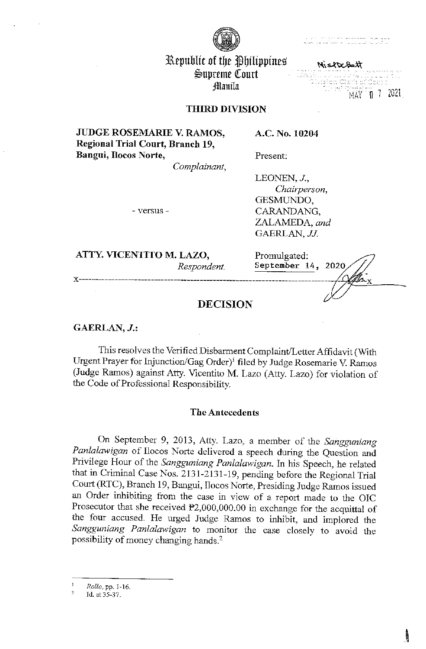

# Republic of the Philippines  $\mathfrak{S}$ upreme Court ~anila

MistocBatt ·· · ~ 1 1u7?',. HAY **<sup>u</sup>**..

# THIRD DIVISION

**JUDGE ROSEMARIE V. RAMOS, Regional Trial Conrt, Branch 19, Bangui, Ilocos Norte,** 

*Complainant,* 

LEONEN, J., *Chairperson,*  GESMUNDO, CARANDANG, ZALAMEDA, *and*  GAERLAN, JJ.

**A.C. No. 10204** 

**Present:** 

- versus -

**ATTY. VICENTITO M. LAZO,**  *Respondent.* 

Promulgated: **September 14,** 

# **DECISION**

**GAERLAN, J.:** 

This resolves the Verified Disbarment Complaint/Letter Affidavit (With Urgent Prayer for Injunction/Gag Order)<sup>1</sup> filed by Judge Rosemarie V. Ramos (Judge Ramos) against Atty. Vicentito M. Lazo (Atty. Lazo) for violation of the Code of Professional Responsibility.

# **The Antecedents**

On September 9, 2013, Atty. Lazo, a member of the *Sangguniang Panlalawigan* of Ilocos Norte delivered a speech during the Question and Privilege Hour of the *Sangguniang Panlalawigan.* In his Speech, he related that in Criminal Case Nos. 2131-2131-19, pending before the Regional Trial Court (RTC), Branch 19, Bangni, Ilocos Norte, Presiding Judge Ramos issued an Order inhibiting from the case in view of a report made to the OIC Prosecutor that she received  $P2,000,000.00$  in exchange for the acquittal of the four accused. He urged Judge Ramos to inhibit, and implored the *Sangguniang Panlalawigan* to monitor the case closely to avoid the possibility of money changing hands.<sup>2</sup>

*Rollo,* pp. 1-16.

 $\frac{2}{\sqrt{2}}$ Id. at 35-37.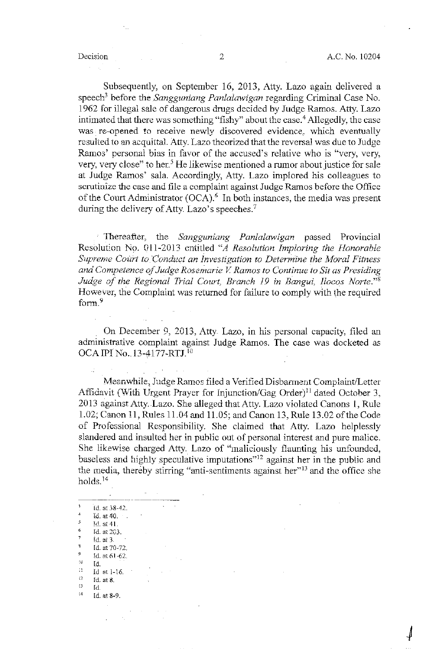Subsequently, on September 16, 2013, Atty. Lazo again delivered a speech<sup>3</sup> before the *Sangguniang Panlalawigan* regarding Criminal Case No. 1962 for illegal sale of dangerous drugs decided by Judge Ramos. Atty. Lazo intimated that there was something "fishy" about the case.<sup>4</sup> Allegedly, the case was re-opened to receive newly discovered evidence, which eventually resulted to an acquittal. Atty. Lazo theorized that the reversal was due to Judge Ramos' personal bias in favor of the accused's relative who is "very, very, very, very close" to her.<sup>5</sup> He likewise mentioned a rumor about justice for sale at Judge Ramos' sala. Accordingly, Atty. Lazo implored his colleagues to scrutinize the case and file a complaint against Judge Ramos before the Office of the Court Administrator  $(OCA)$ .<sup>6</sup> In both instances, the media was present during the delivery of Atty. Lazo's speeches.<sup>7</sup>

Thereafter, the *Sangguniang Panlalawigan* passed Provincial Resolution No. 011-2013 entitled *"A Resolution Imploring the Honorable Supreme Court to Conduct an Investigation to Determine the Moral Fitness and Competence of Judge Rosemarie V Ramos to Continue to Sit as Presiding Judge of the Regional Trial Court, Branch 19 in Bangui, Ilocos Norte.*"<sup>8</sup> However, the Complaint was returned for failure to comply with the required form.<sup>9</sup>

On December 9, 2013, Atty Lazo, in his personal capacity. filed an administrative complaint against Judge Ramos. The case was docketed as OCA IPI No., 13-4177-RTJ.<sup>10</sup>

Meanwhile, Judge Ramos filed a Verified Disbarment Complaint/Letter Affidavit (With Urgent Prayer for Injunction/Gag Order)<sup>11</sup> dated October 3, 2013 against Atty.Lazo. She alleged tbatAtty. Lazo violated Canons 1, Rule 1.02; Canon !I, Rules 11.04 and 11.05; and Canon 13, Rule 13.02 of the Code of Professional Responsibility. She claimed that Atty. Lazo helplessly slandered and insulted her in public out of personal interest and pure malice. She likewise charged Atty. Lazo of "maliciously flaunting his unfounded, baseless and highly speculative imputations"<sup>12</sup> against her in the public and the media, thereby stirring "anti-sentiments against her"<sup>13</sup> and the office she holds. <sup>14</sup>

 $\overline{\mathbf{3}}$ Id. at 38-42.  $\overline{4}$ Id. at 40.  $\frac{5}{6}$  Id. at 41.<br><sup>6</sup> Id. at 263.  $\overline{7}$ Id. at 3 <sup>8</sup> Id. at 70-72.<br><sup>9</sup> Id. at 61-62.  $^{10}$  Id.<br> $^{11}$  Id.  $\frac{1}{12}$  Id at 1-16.<br>  $\frac{12}{13}$  Id at 8.  $^{13}$  Id.<br> $^{14}$  Id. Id. at 8-9.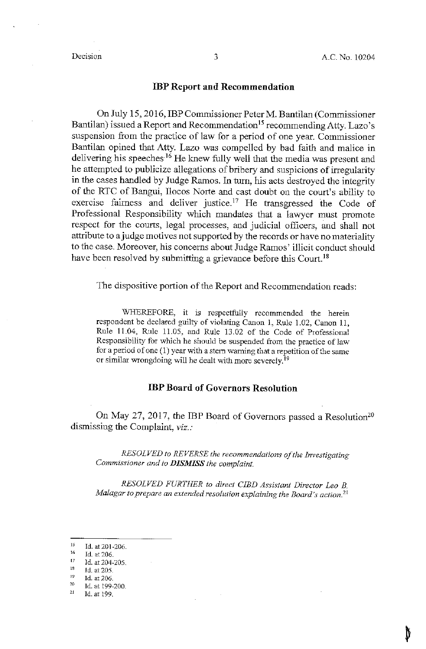## **IBP Report and Recommendation**

On July 15, 2016, IBP Commissioner Peter M. Bantilan (Commissioner Bantilan) issued a Report and Recommendation 15 recommending Atty. Lazo 's suspension from the practice of law for a period of one year. Commissioner Bantilan opined that Atty. Lazo was compelled by bad faith and malice in delivering his speeches·16 He knew fully well that the media was present and he attempted to publicize allegations of bribery and suspicions of irregularity in the cases handled by Judge Ramos. In turn, his acts destroyed the integrity of the RTC of Bangui, Ilocos Norte and cast doubt on the court's ability to exercise fairness and deliver justice.<sup>17</sup> He transgressed the Code of Professional Responsibility which mandates that a lawyer must promote respect for the courts, legal processes, and judicial officers, and shall not attribute to a judge motives not supported by the records or have no materiality to the case. Moreover, his concerns about Judge Ramos' illicit conduct should have been resolved by submitting a grievance before this Court.<sup>18</sup>

The dispositive portion of the Report and Recommendation reads:

WHEREFORE, it is respectfully recommended the herein respondent be declared guilty of violating Canon 1, Rule 1.02, Canon 11, Rule 11.04, Rule 11.05, and Rule 13.02 of the Code of Professional Responsibility for which he should be suspended from the practice of law for a period of one (1) year with a stem warning that a repetition of the same or similar wrongdoing will be dealt with more severely.<sup>19</sup>

# **IBP Board of Governors Resolution**

On May 27, 2017, the IBP Board of Governors passed a Resolution<sup>20</sup> dismissing the Complaint, *viz.:* 

*RESOLVED to REVERSE the recommendations of the Investigating Commissioner and to DISMISS the complaint.* 

*RESOLVED FURTHER to direct CIBD Assistant Director Leo B. Ma/agar to prepare an extended resolution explaining the Board's action.*<sup>21</sup>

 $15 \over 16$ Id. at 201-206.

Id. at 206.

Id. at 204-205.

 $\frac{17}{18}$ <br> $\frac{19}{20}$ Id. at 205.

Id. at 206.

<sup>21</sup> Id. at 199-200.

Id.at 199.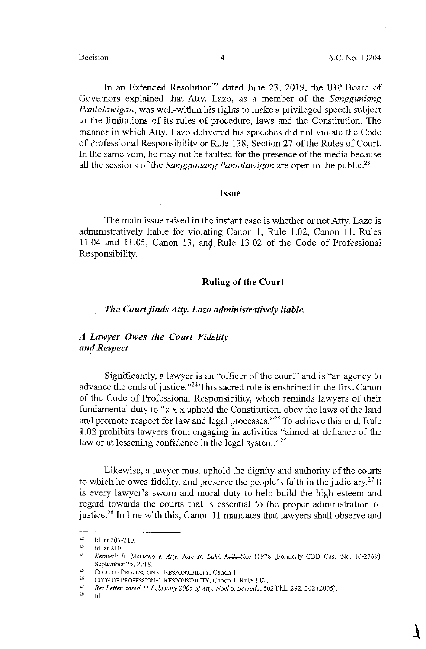In an Extended Resolution<sup>22</sup> dated June 23, 2019, the IBP Board of Governors explained that Atty. Lazo, as a member of the *Sangguniang Panlalawigan,* was well-within his rights to make a privileged speech subject to the limitations of its rules of procedure, laws and the Constitution. The marmer in which Atty. Lazo delivered his speeches did not violate the Code of Professional Responsibility or Rule 138, Section 27 of the Rules of Court. In the same vein, he may not be faulted for the presence of the media because all the sessions of the *Sangguniang Panlalawigan* are open to the public.23

## **Issue**

The main issue raised in the instant case is whether or not Atty. Lazo is administratively liable for violating Canon I, Rule 1.02, Canon 11, Rules 11.04 and 11.05, Canon 13, an9 Rule 13.02 of the Code of Professional Responsibility.

## **Ruling of the Court**

### *The Court finds Atry. Lazo administratively liable.*

# *A Lawyer Owes the Court Fidelity and Respect*

Significantly, a lawyer is an "officer of the court" and is "an agency to advance the ends of justice."24 This sacred role is enshrined in the first Canon of the Code of Professional Responsibility, which reminds lawyers of their fundamental duty to "x xx uphold the Constitution, obey the laws of the land and promote respect for law and legal processes."<sup>25</sup> To achieve this end, Rule I.02 prohibits lawyers from engaging in activities "aimed at defiance of the law or at lessening confidence in the legal system."<sup>26</sup>

Likewise, a lawyer must uphold the dignity and authority of the courts to which he owes fidelity, and preserve the people's faith in the judiciary.27 It is every lawyer's sworn and moral duty to help build the high esteem and regard towards the courts that is essential to the proper administration of justice.<sup>28</sup> In line with this, Canon 11 mandates that lawyers shall observe and

<sup>22</sup> Id. at207-210.

<sup>&</sup>lt;sup>23</sup> Id. at 210.<br><sup>24</sup> *Kenneth R. Mariano v. Atty. Jose N. Laki, A.C.*-No.- 11978 [Formerly CBD Case No. 10-2769], September 25, 2018.

<sup>&</sup>lt;sup>25</sup> CODE OF PROFESSIONAL RESPONSIBILITY, Canon 1.<br><sup>26</sup> CODE OF PROFESSIONAL RESPONSIBILITY, Canon 1, Rule 1.02.<br>*Re: Letter dated 21 February 2005 of Atty. Noel S. Sorreda,* 502 Phil. 292, 302 (2005).

Id.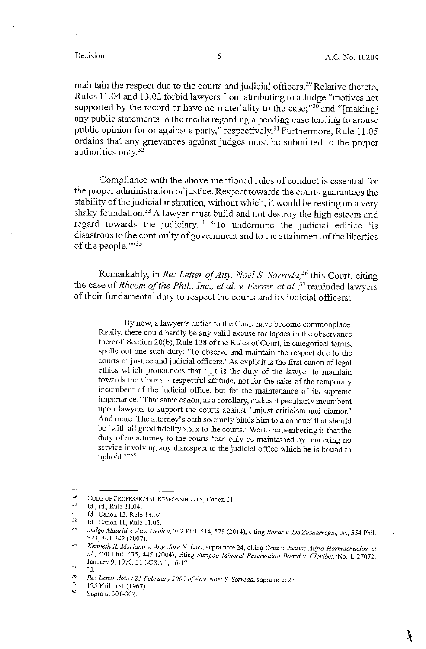maintain the respect due to the courts and judicial officers.29 Relative thereto, Rules 11.04 and 13.02 forbid lawyers from attributing to a Judge "motives not supported by the record or have no materiality to the case; $^{30}$  and "[making] any public statements in the media regarding a pending case tending to arouse public opinion for or against a party," respectively.<sup>31</sup> Furthermore, Rule 11.05 ordains that any grievances against judges must be submitted to the proper authorities only. 32

Compliance with the above-mentioned rules of conduct is essential for the proper administration of justice. Respect towards the courts guarantees the stability of the judicial institution, without which, it would be resting on a very shaky foundation.<sup>33</sup> A lawyer must build and not destroy the high esteem and regard towards the judiciary.34 "To undermine the judicial edifice 'is disastrous to the continuity of government and to the attainment of the liberties of the people."35

Remarkably, in *Re: Letter of Atty. Noel S. Sorreda,* 36 this Court, citing the case of *Rheem of the Phil., Inc., et al. v. Ferrer, et al.*,<sup>37</sup> reminded lawyers of their fundamental duty to respect the courts and its judicial officers:

By now, a lavvyer's duties to the Court have become commonplace. Really, there could hardly be any valid excuse for lapses in the observance thereof. Section 20(b), Rule 138 of the Rules of Court, in categorical terms, spells out one such duty: 'To observe and maintain the respect due to the courts of justice and judicial officers.' As explicit is the first canon of legal ethics which pronounces that '[i]t is the duty of the lawyer to maintain towards the Courts a respectful attitude, not for the sake of the temporary incumbent of the judicial office, but for the maintenance of its supreme importance.' That same canon, as a corollary, makes it peculiarly incumbent upon lawyers to support the courts against 'unjust criticism and clamor.' And more. The attorney's oath solemnly binds him to a conduct that should be 'with all good fidelity  $x \times x$  to the courts.' Worth remembering is that the duty of an attorney to the courts 'can only be maintained by rendering no service involving any disrespect to the judicial office which he is bound to uphold."38

<sup>29</sup> CODE OF PROFESSIONAL RESPONSIBILITY, Canon 11.

 $\frac{30}{31}$ Id., id., Rule 11.04.

<sup>32</sup>  Id., Canon 13, Rule 13.02.

Id., Canon 11, Rule 11.05.

<sup>33</sup> *Judge Madrid v. Atty. Dealca,* 742 Phil. 514, 529 (2014), citing *Roxas v. De Zuzuarregui, Jr.,* 554 Phil. 323, 341-342 (2007).  $34$ 

*Kenneth R .. Mariano v. Atty. Jose N Laki,* supra note 24. citing *Cruz v. Justice Alifio-Hormachuelos, et al.,* 470 Phil. 435, 445 (2004), citing *Surigao Mineral Reservation Board v. Claribel.* ·No. L-27072, January 9, 1970, 31 SCRA 1, 16-17.

<sup>35</sup> Id. 36

*Re.- Letter dated 21 February 2005 of Atty. Noel* S. *Sorreda,* supra note 27. 37

<sup>125</sup> Phil. 551 (1967). 38

Supra at 301-302.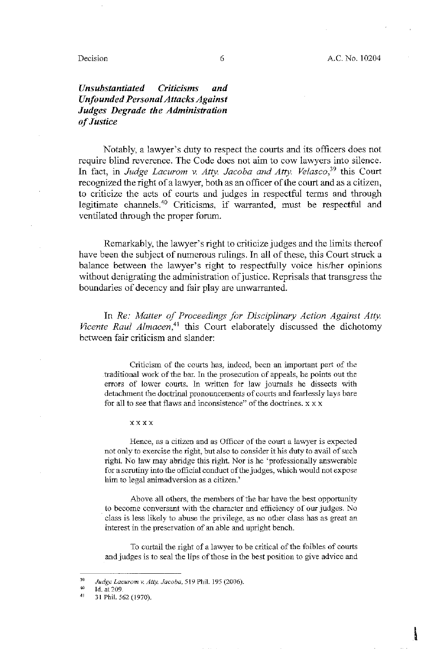### Decision 6

# *Unsubstantiated Criticisms and Unfounded Personal Attacks Against Judges Degrade the Administration of Justice*

Notably, a lawyer's duty to respect the courts and its officers does not require blind reverence. The Code does not aim to cow lawyers into silence. In fact, in *Judge Lacurom v. Atty. Jacoba and Atty. Velasco*,<sup>39</sup> this Court recognized the right of a lawyer, both as an officer of the court and as a citizen, to criticize the acts of courts and judges in respectful terms and through legitimate channels.<sup>40</sup> Criticisms, if warranted, must be respectful and ventilated through the proper forum.

Remarkably, the lawyer's right to criticize judges and the limits thereof have been the subject of numerous rulings. In all of these, this Court struck a balance between the lawyer's right to respectfully voice his/her opinions without denigrating the administration of justice. Reprisals that transgress the boundaries of decency and fair play are unwarranted.

In *Re: Matter of Proceedings for Disciplinary Action Against Atty.*  Vicente Raul Almacen,<sup>41</sup> this Court elaborately discussed the dichotomy between fair criticism and slander:

Criticism of the courts has, indeed, been an important part of the traditional work of the bar. In the prosecution of appeals, he points out the errors of lower courts. In written for law journals he dissects with detachment the doctrinal pronouncements of courts and fearlessly lays bare for all to see that flaws and inconsistence" of the doctrines.  $x \times x$ 

#### xxxx

Hence, as a citizen and as Officer of the court a lawyer is expected not only to exercise the right, but also to consider it his duty to avail of such right. No law may abridge this right. Nor is he 'professionally answerable for a scrutiny into the official conduct of the judges, which would not expose him to legal animadversion as a citizen.'

Above all others, the members of the bar have the best opportunity to become conversant with the character and efficiency of our judges. No class is less likely to abuse the privilege, as no other class has as great an interest in the preservation of an able and upright bench.

To curtail the right of a lawyer to be critical of the foibles of courts and judges is to seal the lips of those in the best position to give advice and

<sup>39</sup> *Judge Lacurom v. Atty. Jacoba.* 519 Phil. 195 (2006).

<sup>40</sup> Id. at 209.

 $4\,\mathrm{l}$ 31 Phil. 562 (1970).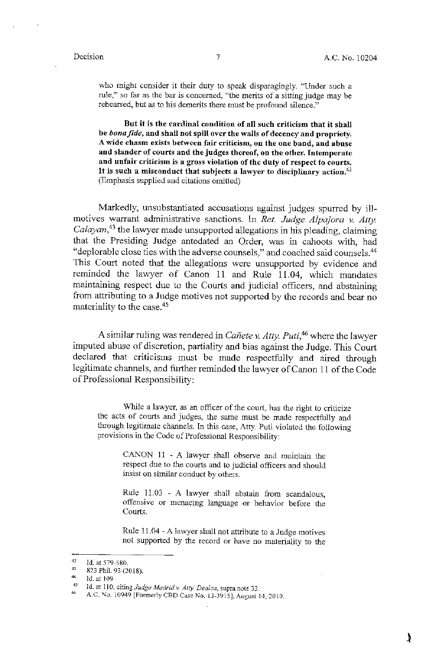who might consider it their duty to speak disparagingly. "Under such a rule," so far as the bar is concerned, "the merits of a sitting judge may be rehearsed, but as to his demerits there must be profound silence."

But it is the cardinal condition of all such criticism that it shall be *bona fide*, and shall not spill over the walls of decency and propriety. A wide chasm exists between fair criticism, on the one band, and abuse and slander of courts and the judges thereof, on the other. Intemperate and unfair criticism is a gross violation of the duty of respect to courts. It is such a misconduct that subjects a lawyer to disciplinary action.<sup>42</sup> (Emphasis supplied and citations omitted)

Markedly, unsubstantiated accusations against judges spurred by illmotives warrant administrative sanctions. In *Ret. Judge Alpajora v. Atty. Calayan,* 43 the lawyer made unsupported allegations in his pleading, claiming that the Presiding Judge antedated an Order, was in cahoots with, had "deplorable close ties with the adverse counsels," and coached said counsels.44 This Court noted that the allegations were unsupported by evidence and reminded the lawyer of Canon 11 and Rule 11.04, which mandates maintaining respect due to the Courts and judicial officers, and abstaining from attributing to a Judge motives not supported by the records and bear no materiality to the case.<sup>45</sup>

A similar ruling was rendered in *Canete* v. *Atty. Puti,* 46 where the lawyer imputed abuse of discretion, partiality and bias against the Judge. This Court declared that criticisms must be made respectfully and aired through legitimate channels, and further reminded the lawyer of Canon 11 of the Code of Professional Responsibility:

While a lawyer, as an officer of the court, has the right to criticize the acts of courts and judges, the same must be made respectfully and through legitimate channels. In this case, Atty. Puti violated the following provisions in the Code of Professional Responsibility:

CANON 11 - A lawyer shall observe and maintain the respect due to the courts and to judicial officers and should insist on similar conduct by others.

Rule 11.03 - A lawyer shall abstain from scandalous, offensive or menacing language or behavior before the Courts.

Rule 11.04 - A lawyer shall not attribute to a Judge motives not supported by the record or have no materiality to the

<sup>42</sup> Id. at 579-580.

<sup>43</sup> 823 Phil. 93 (2018).

 $+4$ 

Id. at 109<br>Id. at 110, citing *Judge Madrid v. Atty. Dealca*, supra note 33.

<sup>&</sup>lt;sup>45</sup> Id. at 110, citing *Judge Madrid v. Atty. Dealca*, supra note 33.<br><sup>46</sup> A.C. No. 10949 [Formerly CBD Case No. 13-3915], August 14, 201-9.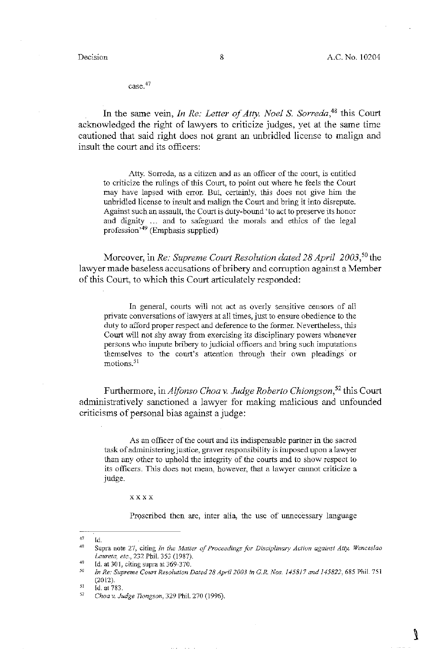V

case.<sup>47</sup>

In the same vein, *In Re: Letter of Atty. Noel* S. *Sorreda,48* this Court acknowledged the right of lawyers to criticize judges, yet at the same time cautioned that said right does not grant an unbridled license to malign and insult the court and its officers:

Atty. Sorreda, as a citizen and as an officer of the court, is entitled to criticize the rulings of this Court, to point out where he feels the Court may have lapsed with error. But, certainly, this does not give him the unbridled license to insult and malign the Court and bring it into disrepute. Against such an assault, the Court is duty-bound 'to act to preserve its honor and dignity ... and to safeguard the morals and ethics of the legal profession'49 (Emphasis supplied)

Moreover, in *Re: Supreme Court Resolution dated 28 April 2003, <sup>50</sup>*the lawyer made baseless accusations of bribery and corruption against a Member of this Court, to which this Court articulately responded:

In general, courts will not act as overly sensitive censors of all private conversations of lawyers at all times, just to ensure obedience to the duty to afford proper respect and deference to the former. Nevertheless, this Court will not shy away from exercising its disciplinary powers whenever persons who impute bribery to judicial officers and bring such imputations themselves to the court's attention through their own pleadings or motions.<sup>51</sup>

Furthermore, in *Alfonso Choa v. Judge Roberto Chiongson*,<sup>52</sup> this Court administratively sanctioned a lawyer for making malicious and unfounded criticisms of personal bias against a judge:

As an officer of the court and its indispensable partner in the sacred task of administering justice, graver responsibility is imposed upon a lawyer than any other to uphold the integrity of the courts and to show respect to its officers. This does not mean, however, that a lawyer cannot criticize a judge.

xxxx

Proscribed then are, inter alia, the use of unnecessary language

 $47$ ld.

<sup>48</sup> Supra note 27, citing *In the Matter of Proceedings for Disciplinary Action against Atty. Wenceslao Laureta, etc.,* 232 Phil. 353 (1987).

<sup>49</sup> Id. at  $301$ , citing supra at  $369-370$ .

<sup>50</sup> *In Re: Supreme Court Resolution Dated 28 April 2003 in G\_R \_Nos. 145817 and 145822,* 685 Phil. 751 (2012).

<sup>51</sup> Id. at 783.

<sup>52</sup> *Choa v. Judge Tiongson,* 329 Phil. 270 (1996).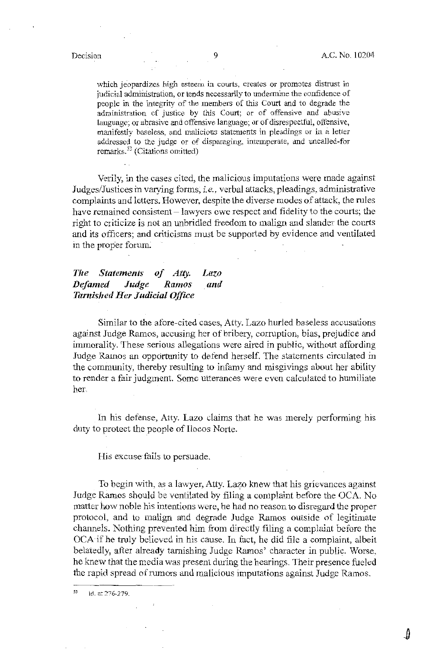Jl

which jeopardizes high esteem in courts, creates or promotes distrust in judicial administration, or tends necessarily to undermine the confidence of people in the integrity of the members of this Court and to degrade the administration of justice by this Court; or of offensive and abusive language; or abrasive and offensive language; or of disrespectful, offensive, :manifestly baseless, and malicious statements in pleadings or in a letter addressed to the judge or of disparaging, intemperate, and uncalled-for remarks.<sup>53</sup> (Citations omitted)

Verily, in the cases cited, the malicious imputations were made against Judges/Justices in varying forms, *i.e.,* verbal attacks, pleadings, administrative complaints and letters. However, despite the diverse modes of attack, the rules have remained consistent  $-$  lawyers owe respect and fidelity to the courts; the right to criticize is not an unbridled freedom to malign and slander the courts and its officers; and criticisms must be supported by evidence and ventilated in the proper forum:

#### *The Statements of Atty. Defamed Judge Ramos Tarnished Her Judicial Office Lazo and*

Similar to the afore-cited cases, Atty. Lazo hurled baseless accusations against Judge Ramos, accusing her of bribery, corruption, bias, prejudice and immorality. These serious allegations were aired in public, without affording Judge Ramos an opportunity to defend herself. The statements circulated in the community, thereby resulting to infamy and misgivings about her ability to render a fair judgment. Some utterances were even calculated to humiliate her.

In his defense, Atty. Lazo claims that he was merely performing his duty to protect the people of Ilocos Norte.

His excuse fails to persuade.

To begin with, as a lawyer, Atty. Lazo knew that his grievances against Judge Ramos should be ventilated by filing a complaint before the OCA. No matter how noble his intentions were, he had no reason to disregard the proper protocol, and to malign and degrade Judge Ramos outside of legitimate channels. Nothing prevented him from directly filing a complaint before the OCA if he truly believed in his cause. In fact, he did file a complaint, albeit belatedly, after already tarnishing Judge Ramos' character in public. Worse, he knew that the media was present during the hearings. Their presence fueled the rapid spread of rumors and malicious imputations against Judge Ramos.

 $53$ Id. at 276-279.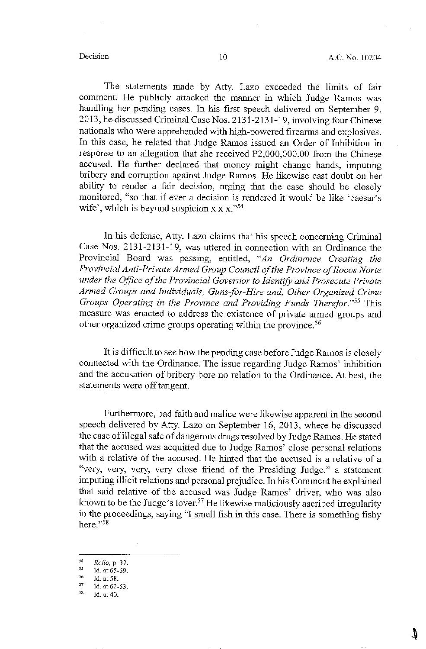The statements made by Atty. Lazo exceeded the limits of fair comment. He publicly attacked the manner in which Judge Ramos was handling her pending cases. In his first speech delivered on September 9, 2013, he discussed Criminal Case Nos. 2131-2131-19, involving four Chinese nationals who were apprehended with high-powered firearms and explosives. In this case, he related that Judge Ramos issued an Order of Inhibition in response to an allegation that she received  $P2,000,000.00$  from the Chinese accused. He further declared that money might change hands, imputing bribery and corruption against Judge Ramos. He likewise cast doubt on her ability to render a fair decision, urging that the case should be closely monitored, "so that if ever a decision is rendered it would be like 'caesar's wife', which is beyond suspicion  $x \times x$ ."<sup>54</sup>

In his defense, Atty. Lazo claims that his speech concerning Criminal Case Nos. 2131-2131-19, was uttered in connection with an Ordinance the Provincial Board was passing, entitled, *"An Ordinance Creating the*  Provincial Anti-Private Armed Group Council of the Province of Ilocos Norte *under the Office of the Provincial Governor to Identify and Prosecute Private Armed Groups and Individuals, Guns-for-Hire and, Other Organized Crime Groups Operating in the Province and Providing Funds Therefor.*"<sup>55</sup> This measure was enacted to address the existence of private armed groups and other organized crime groups operating within the province. <sup>56</sup>

It is difficult to see how the pending case before Judge Ramos is closely connected with the Ordinance. The issue regarding Judge Ramos' inhibition and the accusation of bribery bore no relation to the Ordinance. At best, the statements were off tangent.

Furthermore, bad faith and malice were likewise apparent in the second speech delivered by Atty. Lazo on September 16, 2013, where he discussed the case ofillegal sale of dangerous drugs resolved by Judge Ramos. He stated that the accused was acquitted due to Judge Ramos' close personal relations with a relative of the accused. He hinted that the accused is a relative of a "very, very, very, very close friend of the Presiding Judge," a statement imputing illicit relations and personal prejudice. In his Comment he explained that said relative of the accused was Judge Ramos' driver, who was also known to be the Judge's lover.<sup>57</sup> He likewise maliciously ascribed irregularity in the proceedings, saying "I smell fish in this case. There is something fishy here."58

J)

<sup>54</sup> *Rollo.* p. 37.

 $\begin{array}{r} 55 \\ 56 \\ 16 \text{ at } 58. \end{array}$  Id. at 58.<br>  $\begin{array}{r} 57 \\ 16 \text{ at } 62-63. \end{array}$  Id. at 40.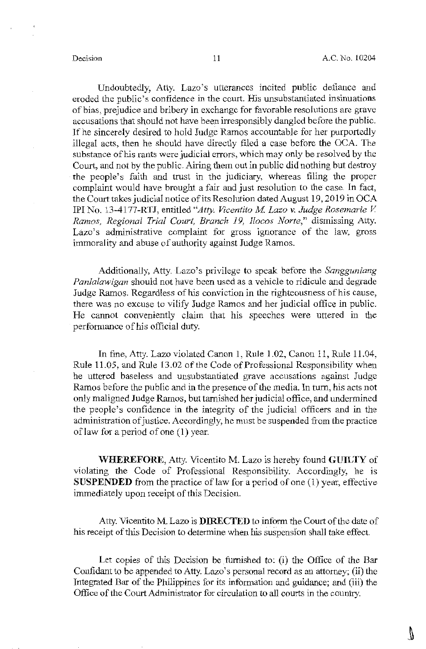Ŋ.

Undoubtedly, Atty. Lazo's utterances incited public defiance and **eroded the public's confidence in the court. His unsubstantiated insinuations of bias, prejudice and bribery in exchange for favorable resolutions are grave**  accusations that should not have been irresponsibly dangled before the public. If he sincerely desired to hold Judge Ramos accountable for her purportedly illegal acts, then he should have directly filed a case before the OCA. The **substance of his rants were judicial errors, which may only be resolved by the**  Court, and not by the public. Airing them out in public did nothing but destroy the people's faith and trust in the judiciary, whereas filing the proper complaint would have brought a fair and just resolution to the case. In fact, the Court takes judicial notice of its Resolution dated August 19, 2019 in OCA IPI No. 13-4177-RTJ, entitled "Atty. Vicentito M. Lazo v. Judge Rosemarie V. *Ramos, Regional Trial Court, Branch 19, !locos Norte,"* dismissing Atty. Lazo's administrative complaint for gross ignorance of the law, gross immorality and abuse of authority against Judge Ramos.

Additionally, Atty. Lazo's privilege to speak before the *Sangguniang Panlalawigan* should not have been used as a vehicle to ridicule and degrade Judge Ramos. Regardless of his conviction in tbe righteousness of his cause, there was no excuse to vilify Judge Ramos and her judicial office in public. He cannot conveniently claim that his speeches were uttered in the performance of his official duty.

In fine, Atty. Lazo violated Canon I, Rule 1.02, Canon 11, Rule 11.04, Rule 11.05, and Rule 13.02 of the Code of Professional Responsibility when **he uttered baseless and unsubstantiated grave accusations against Judge**  Ramos before the public and in the presence of the media. In turn, his acts not only maligned Judge Ramos, but tarnished her judicial office, and undermined tbe people's confidence in tbe integrity of tbe judicial officers and in tbe administration of justice. Accordingly, he must be suspended from tbe practice of law for a period of one (1) year.

**WHEREFORE,** Atty. Vicentito M. Lazo is hereby found **GUILTY** of violating tbe Code of Professional Responsibility. Accordingly, he is **SUSPENDED** from the practice of law for a period of one (1) year, effective immediately upon receipt of this Decision.

Atty. Vicentito M. Lazo is **DIRECTED** to inform the Court of the date of his receipt of this Decision to determine when his suspension shall take effect.

Let copies of this Decision be furnished to: (i) the Office of the Bar Confidant to be appended to Atty. Lazo's personal record as an attorney; (ii) tbe Integrated Bar of tbe Philippines for its information and guidance; and (iii) the Office of tbe Court Administrator for circulation to all courts in tbe country.